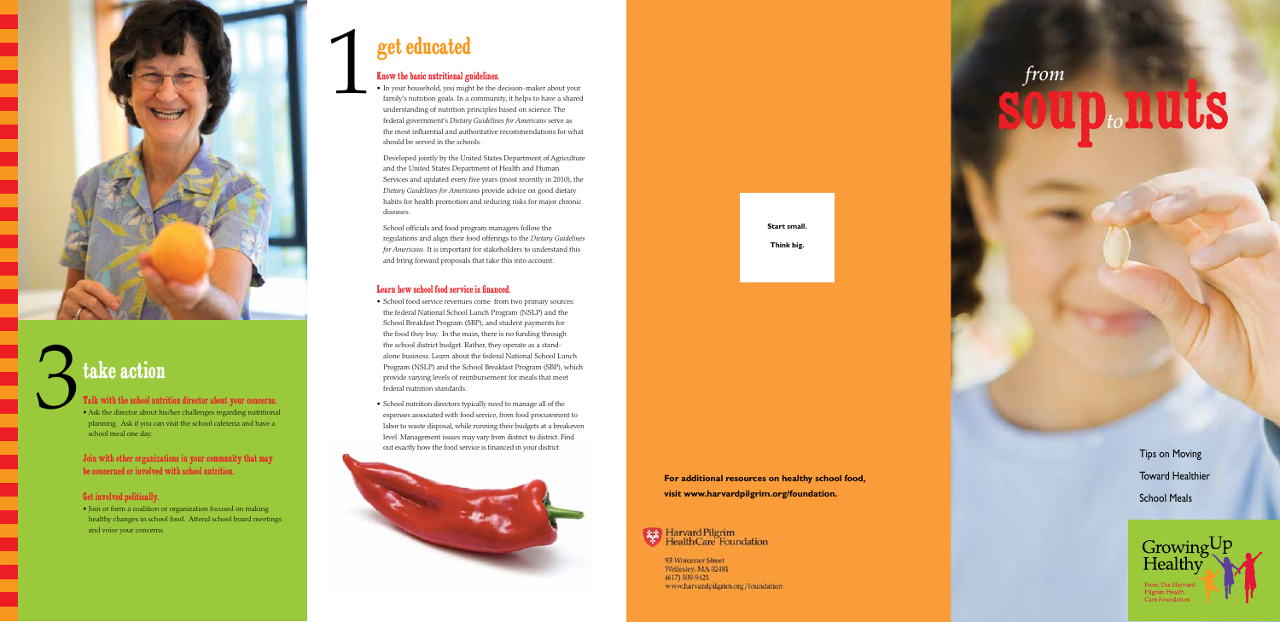

## take action

Talk with the school nutrition director about your concerns. • Ask the director about his/her challenges regarding nutritional planning. Ask if you can visit the school cafeteria and have a school meal one day.

Join with other organizations in your community that may be concerned or involved with school nutrition.

#### Get involved politically.

• Join or form a coalition or organization focused on making healthy changes in school food. Attend school board meetings and voice your concerns.

# soup*to*nuts *from*

Tips on Moving Toward Healthier School Meals



#### Know the basic nutritional guidelines.

• In your household, you might be the decision-maker about your family's nutrition goals. In a community, it helps to have a shared understanding of nutrition principles based on science. The federal government's *Dietary Guidelines for Americans* serve as the most influential and authoritative recommendations for what should be served in the schools.

Developed jointly by the United States Department of Agriculture and the United States Department of Health and Human Services and updated every five years (most recently in 2010), the *Dietary Guidelines for Americans* provide advice on good dietary habits for health promotion and reducing risks for major chronic diseases.

School officials and food program managers follow the regulations and align their food offerings to the *Dietary Guidelines for Americans.* It is important for stakeholders to understand this and bring forward proposals that take this into account.

## get educated 1

#### Learn how school food service is financed.

- School food service revenues come from two primary sources: the federal National School Lunch Program (NSLP) and the School Breakfast Program (SBP); and student payments for the food they buy. In the main, there is no funding through the school district budget. Rather, they operate as a standalone business. Learn about the federal National School Lunch Program (NSLP) and the School Breakfast Program (SBP), which provide varying levels of reimbursement for meals that meet federal nutrition standards.
- School nutrition directors typically need to manage all of the expenses associated with food service, from food procurement to labor to waste disposal, while running their budgets at a breakeven level. Management issues may vary from district to district. Find out exactly how the food service is financed in your district.



**Start small.**

**Think big.**

**For additional resources on healthy school food, visit www.harvardpilgrim.org/foundation.**

### Harvard Pilgrim<br>Health Care Foundation

93 Worcester Street Wellesley, MA 02481  $(617) 509 - 9421$ www.harvardpilgrim.org/foundation